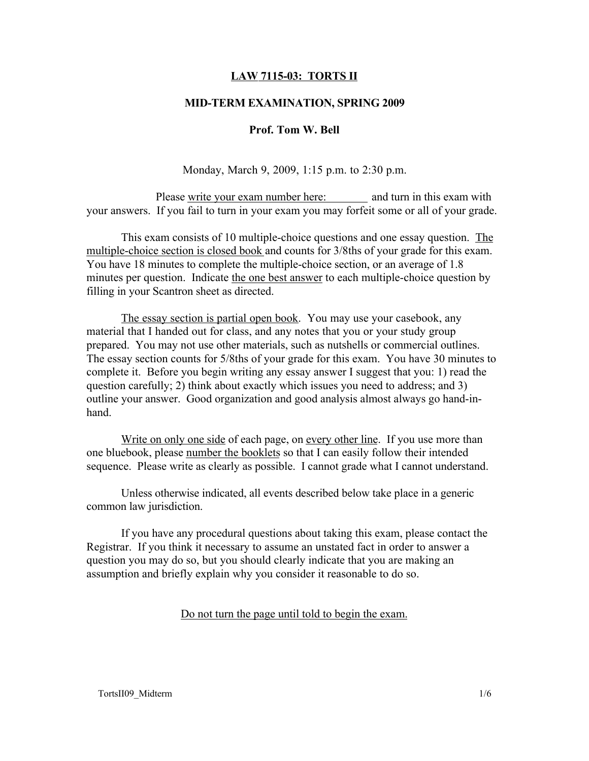# LAW 7115-03: TORTS II

# MID-TERM EXAMINATION, SPRING 2009

#### Prof. Tom W. Bell

Monday, March 9, 2009, 1:15 p.m. to 2:30 p.m.

Please write your exam number here: and turn in this exam with your answers. If you fail to turn in your exam you may forfeit some or all of your grade.

This exam consists of 10 multiple-choice questions and one essay question. The multiple-choice section is closed book and counts for 3/8ths of your grade for this exam. You have 18 minutes to complete the multiple-choice section, or an average of 1.8 minutes per question. Indicate the one best answer to each multiple-choice question by filling in your Scantron sheet as directed.

The essay section is partial open book. You may use your casebook, any material that I handed out for class, and any notes that you or your study group prepared. You may not use other materials, such as nutshells or commercial outlines. The essay section counts for 5/8ths of your grade for this exam. You have 30 minutes to complete it. Before you begin writing any essay answer I suggest that you: 1) read the question carefully; 2) think about exactly which issues you need to address; and 3) outline your answer. Good organization and good analysis almost always go hand-inhand.

Write on only one side of each page, on every other line. If you use more than one bluebook, please number the booklets so that I can easily follow their intended sequence. Please write as clearly as possible. I cannot grade what I cannot understand.

Unless otherwise indicated, all events described below take place in a generic common law jurisdiction.

If you have any procedural questions about taking this exam, please contact the Registrar. If you think it necessary to assume an unstated fact in order to answer a question you may do so, but you should clearly indicate that you are making an assumption and briefly explain why you consider it reasonable to do so.

Do not turn the page until told to begin the exam.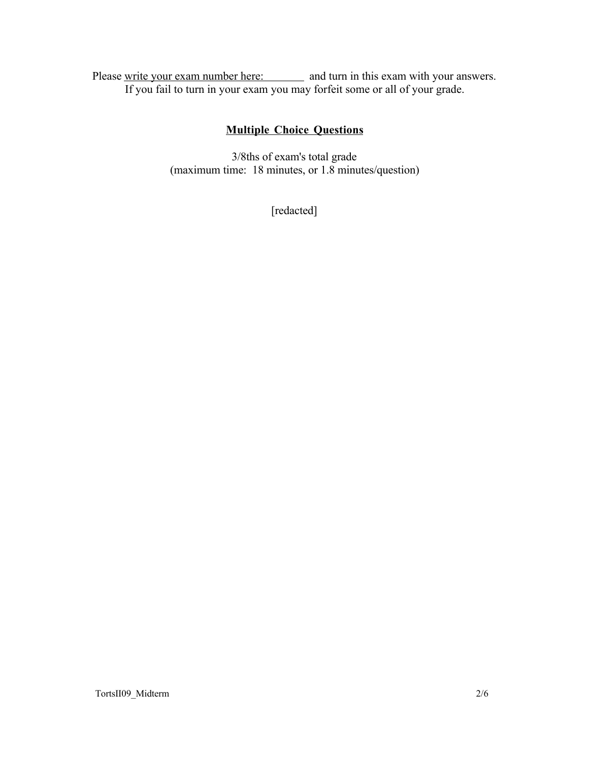Please write your exam number here: and turn in this exam with your answers. If you fail to turn in your exam you may forfeit some or all of your grade.

# Multiple Choice Questions

3/8ths of exam's total grade (maximum time: 18 minutes, or 1.8 minutes/question)

[redacted]